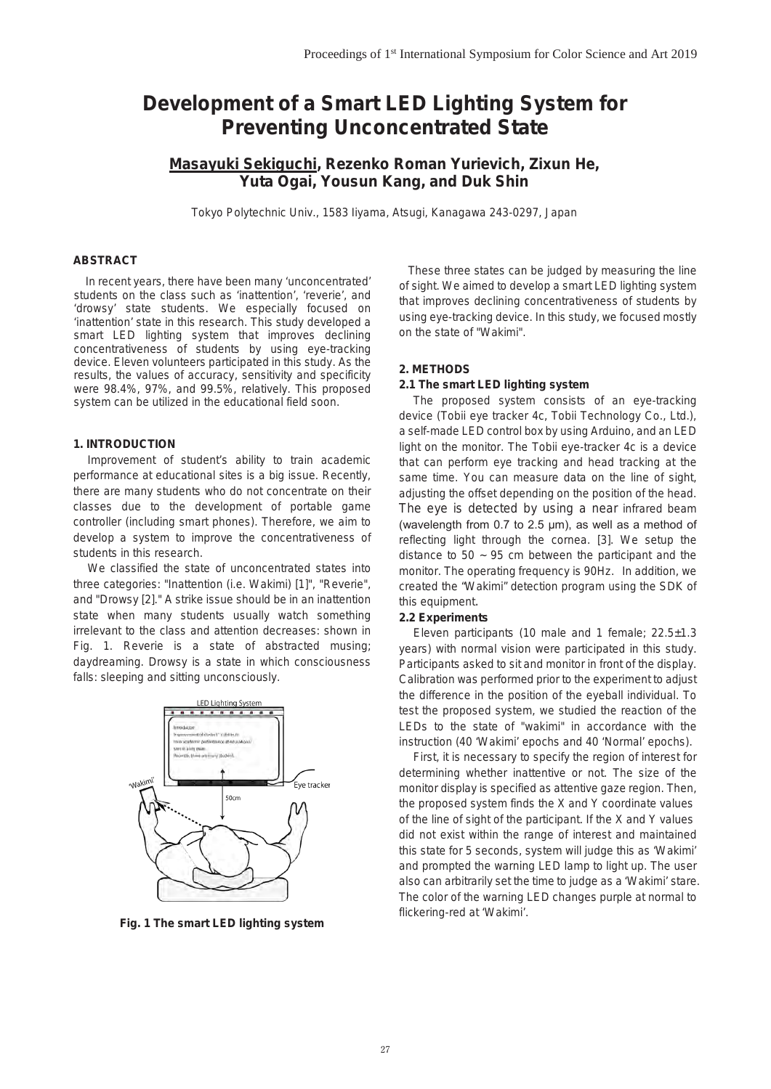# **Development of a Smart LED Lighting System for Preventing Unconcentrated State**

# **Masayuki Sekiguchi, Rezenko Roman Yurievich, Zixun He, Yuta Ogai, Yousun Kang, and Duk Shin**

Tokyo Polytechnic Univ., 1583 Iiyama, Atsugi, Kanagawa 243-0297, Japan

# **ABSTRACT**

*In recent years, there have been many 'unconcentrated' students on the class such as 'inattention', 'reverie', and 'drowsy' state students. We especially focused on 'inattention' state in this research. This study developed a smart LED lighting system that improves declining concentrativeness of students by using eye-tracking device. Eleven volunteers participated in this study. As the results, the values of accuracy, sensitivity and specificity were 98.4%, 97%, and 99.5%, relatively. This proposed system can be utilized in the educational field soon.* 

### **1. INTRODUCTION**

Improvement of student's ability to train academic performance at educational sites is a big issue. Recently, there are many students who do not concentrate on their classes due to the development of portable game controller (including smart phones). Therefore, we aim to develop a system to improve the concentrativeness of students in this research.

We classified the state of unconcentrated states into three categories: "Inattention (i.e. Wakimi) [1]", "Reverie", and "Drowsy [2]." A strike issue should be in an inattention state when many students usually watch something irrelevant to the class and attention decreases: shown in Fig. 1. Reverie is a state of abstracted musing; daydreaming. Drowsy is a state in which consciousness falls: sleeping and sitting unconsciously.



**Fig. 1 The smart LED lighting system**

These three states can be judged by measuring the line of sight. We aimed to develop a smart LED lighting system that improves declining concentrativeness of students by using eye-tracking device. In this study, we focused mostly on the state of "Wakimi".

#### **2. METHODS**

#### **2.1 The smart LED lighting system**

The proposed system consists of an eye-tracking device (Tobii eye tracker 4c, Tobii Technology Co., Ltd.), a self-made LED control box by using Arduino, and an LED light on the monitor. The Tobii eye-tracker 4c is a device that can perform eye tracking and head tracking at the same time. You can measure data on the line of sight, adjusting the offset depending on the position of the head. The eye is detected by using a near infrared beam (wavelength from 0.7 to 2.5 μm), as well as a method of reflecting light through the cornea. [3]. We setup the distance to  $50 \sim 95$  cm between the participant and the monitor. The operating frequency is 90Hz. In addition, we created the "Wakimi" detection program using the SDK of this equipment.

#### **2.2 Experiments**

Eleven participants (10 male and 1 female; 22.5±1.3 years) with normal vision were participated in this study. Participants asked to sit and monitor in front of the display. Calibration was performed prior to the experiment to adjust the difference in the position of the eyeball individual. To test the proposed system, we studied the reaction of the LEDs to the state of "wakimi" in accordance with the instruction (40 'Wakimi' epochs and 40 'Normal' epochs).

First, it is necessary to specify the region of interest for determining whether inattentive or not. The size of the monitor display is specified as attentive gaze region. Then, the proposed system finds the X and Y coordinate values of the line of sight of the participant. If the X and Y values did not exist within the range of interest and maintained this state for 5 seconds, system will judge this as 'Wakimi' and prompted the warning LED lamp to light up. The user also can arbitrarily set the time to judge as a 'Wakimi' stare. The color of the warning LED changes purple at normal to flickering-red at 'Wakimi'.